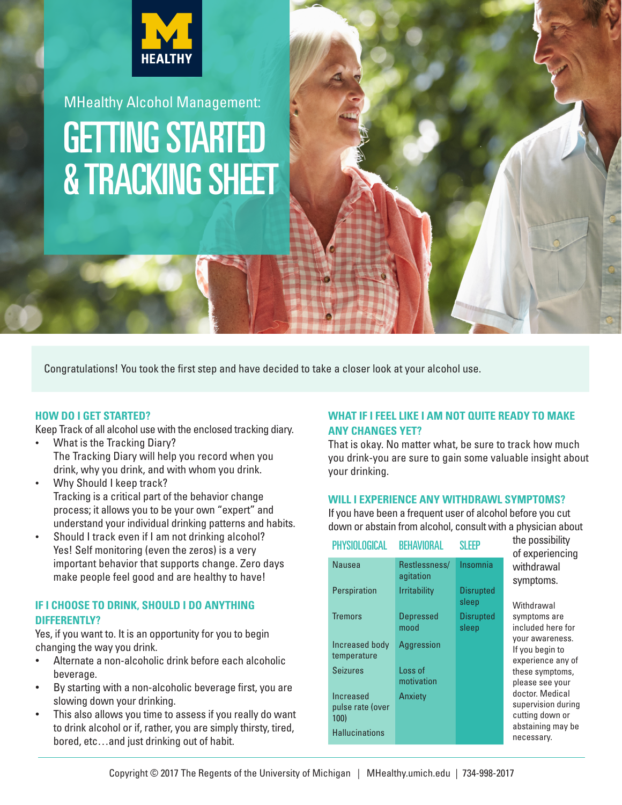

GETTING STARTED & TRACKING SHEET MHealthy Alcohol Management:

Congratulations! You took the first step and have decided to take a closer look at your alcohol use.

### **HOW DO I GET STARTED?**

Keep Track of all alcohol use with the enclosed tracking diary.

- What is the Tracking Diary? The Tracking Diary will help you record when you drink, why you drink, and with whom you drink.
- Why Should I keep track? Tracking is a critical part of the behavior change process; it allows you to be your own "expert" and understand your individual drinking patterns and habits.
- Should I track even if I am not drinking alcohol? Yes! Self monitoring (even the zeros) is a very important behavior that supports change. Zero days make people feel good and are healthy to have!

## **IF I CHOOSE TO DRINK, SHOULD I DO ANYTHING DIFFERENTLY?**

Yes, if you want to. It is an opportunity for you to begin changing the way you drink.

- Alternate a non-alcoholic drink before each alcoholic beverage.
- By starting with a non-alcoholic beverage first, you are slowing down your drinking.
- This also allows you time to assess if you really do want to drink alcohol or if, rather, you are simply thirsty, tired, bored, etc…and just drinking out of habit.

### **WHAT IF I FEEL LIKE I AM NOT QUITE READY TO MAKE ANY CHANGES YET?**

That is okay. No matter what, be sure to track how much you drink-you are sure to gain some valuable insight about your drinking.

### **WILL I EXPERIENCE ANY WITHDRAWL SYMPTOMS?**

If you have been a frequent user of alcohol before you cut down or abstain from alcohol, consult with a physician about

| PHISIULUGILAL                         | BENAVIUKAL                 | N FFF                     |
|---------------------------------------|----------------------------|---------------------------|
| Nausea                                | Restlessness/<br>agitation | Insomnia                  |
| Perspiration                          | <b>Irritability</b>        | <b>Disrupted</b><br>sleep |
| <b>Tremors</b>                        | <b>Depressed</b><br>mood   | <b>Disrupted</b><br>sleep |
| Increased body<br>temperature         | Aggression                 |                           |
| <b>Seizures</b>                       | Loss of<br>motivation      |                           |
| Increased<br>pulse rate (over<br>100) | Anxiety                    |                           |
| <b>Hallucinations</b>                 |                            |                           |

PHYSIOLOGICAL BEHAVIORAL SLEEP

the possibility of experiencing withdrawal symptoms.

Withdrawal symptoms are included here for your awareness. If you begin to experience any of these symptoms, please see your doctor. Medical supervision during cutting down or abstaining may be necessary.